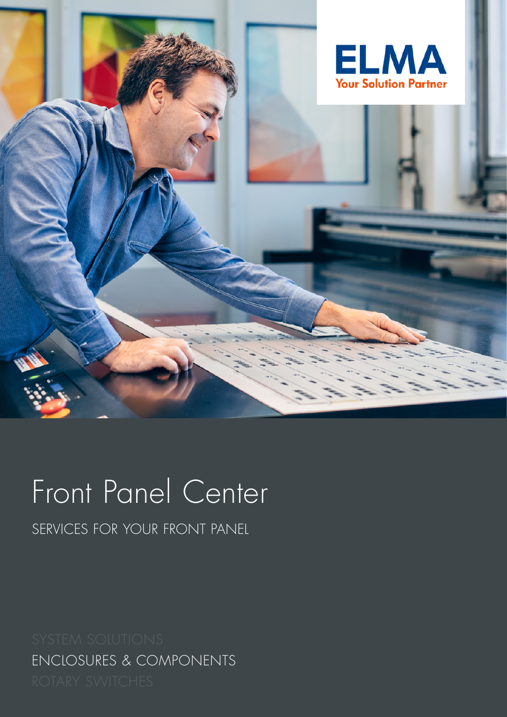

# Front Panel Center

SERVICES FOR YOUR FRONT PANEL

ENCLOSURES & COMPONENTS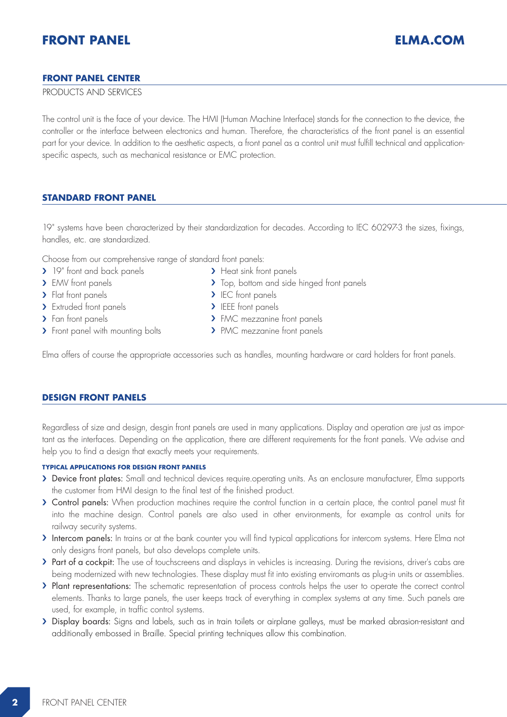## **FRONT PANEL CENTER**

## PRODUCTS AND SERVICES

The control unit is the face of your device. The HMI (Human Machine Interface) stands for the connection to the device, the controller or the interface between electronics and human. Therefore, the characteristics of the front panel is an essential part for your device. In addition to the aesthetic aspects, a front panel as a control unit must fulfill technical and applicationspecific aspects, such as mechanical resistance or EMC protection.

## **STANDARD FRONT PANEL**

19" systems have been characterized by their standardization for decades. According to IEC 60297-3 the sizes, fixings, handles, etc. are standardized.

Choose from our comprehensive range of standard front panels:

- > 19" front and back panels
- > EMV front panels
- > Flat front panels
- > Extruded front panels
- > Fan front panels
- > Front panel with mounting bolts
- > Heat sink front panels
- > Top, bottom and side hinged front panels
- > IEC front panels
- > IEEE front panels
- > FMC mezzanine front panels
- > PMC mezzanine front panels

Elma offers of course the appropriate accessories such as handles, mounting hardware or card holders for front panels.

## **DESIGN FRONT PANELS**

Regardless of size and design, desgin front panels are used in many applications. Display and operation are just as important as the interfaces. Depending on the application, there are different requirements for the front panels. We advise and help you to find a design that exactly meets your requirements.

#### **TYPICAL APPLICATIONS FOR DESIGN FRONT PANELS**

- › Device front plates: Small and technical devices require.operating units. As an enclosure manufacturer, Elma supports the customer from HMI design to the final test of the finished product.
- › Control panels: When production machines require the control function in a certain place, the control panel must fit into the machine design. Control panels are also used in other environments, for example as control units for railway security systems.
- › Intercom panels: In trains or at the bank counter you will find typical applications for intercom systems. Here Elma not only designs front panels, but also develops complete units.
- > Part of a cockpit: The use of touchscreens and displays in vehicles is increasing. During the revisions, driver's cabs are being modernized with new technologies. These display must fit into existing enviromants as plug-in units or assemblies.
- › Plant representations: The schematic representation of process controls helps the user to operate the correct control elements. Thanks to large panels, the user keeps track of everything in complex systems at any time. Such panels are used, for example, in traffic control systems.
- › Display boards: Signs and labels, such as in train toilets or airplane galleys, must be marked abrasion-resistant and additionally embossed in Braille. Special printing techniques allow this combination.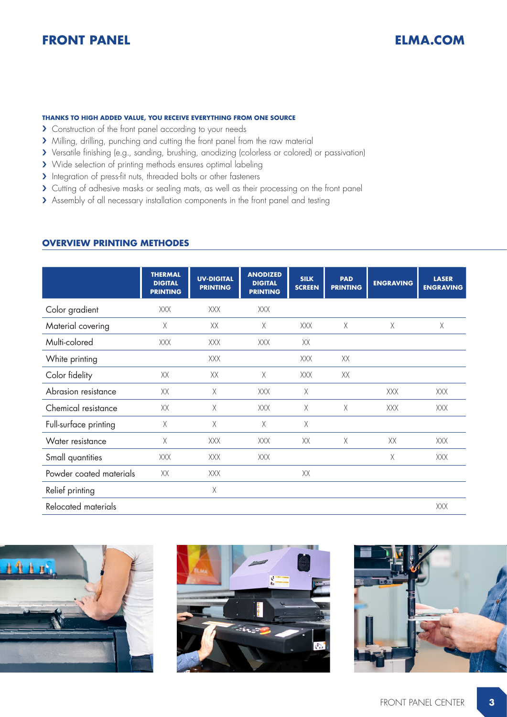## **FRONT PANEL ELMA.COM**

## **THANKS TO HIGH ADDED VALUE, YOU RECEIVE EVERYTHING FROM ONE SOURCE**

- › Construction of the front panel according to your needs
- › Milling, drilling, punching and cutting the front panel from the raw material
- › Versatile finishing (e.g., sanding, brushing, anodizing (colorless or colored) or passivation)
- > Wide selection of printing methods ensures optimal labeling
- › Integration of press-fit nuts, threaded bolts or other fasteners
- › Cutting of adhesive masks or sealing mats, as well as their processing on the front panel
- › Assembly of all necessary installation components in the front panel and testing

## **OVERVIEW PRINTING METHODES**

|                         | <b>THERMAL</b><br><b>DIGITAL</b><br><b>PRINTING</b> | <b>UV-DIGITAL</b><br><b>PRINTING</b> | <b>ANODIZED</b><br><b>DIGITAL</b><br><b>PRINTING</b> | <b>SILK</b><br><b>SCREEN</b> | <b>PAD</b><br><b>PRINTING</b> | <b>ENGRAVING</b> | <b>LASER</b><br><b>ENGRAVING</b> |
|-------------------------|-----------------------------------------------------|--------------------------------------|------------------------------------------------------|------------------------------|-------------------------------|------------------|----------------------------------|
| Color gradient          | XXX                                                 | XXX                                  | XXX                                                  |                              |                               |                  |                                  |
| Material covering       | Χ                                                   | XX                                   | Χ                                                    | XXX                          | Χ                             | Χ                | Χ                                |
| Multi-colored           | XXX                                                 | XXX                                  | XXX                                                  | XX                           |                               |                  |                                  |
| White printing          |                                                     | <b>XXX</b>                           |                                                      | XXX                          | XX                            |                  |                                  |
| Color fidelity          | XX                                                  | XX                                   | $\chi$                                               | XXX                          | XX                            |                  |                                  |
| Abrasion resistance     | XX                                                  | X                                    | <b>XXX</b>                                           | Χ                            |                               | XXX              | XXX                              |
| Chemical resistance     | XX                                                  | Χ                                    | XXX                                                  | Χ                            | $\times$                      | XXX              | XXX                              |
| Full-surface printing   | Χ                                                   | $\mathsf X$                          | Χ                                                    | Χ                            |                               |                  |                                  |
| Water resistance        | Χ                                                   | XXX                                  | XXX                                                  | XX                           | Χ                             | XX               | XXX                              |
| Small quantities        | <b>XXX</b>                                          | <b>XXX</b>                           | <b>XXX</b>                                           |                              |                               | Χ                | XXX                              |
| Powder coated materials | XX                                                  | XXX                                  |                                                      | XX                           |                               |                  |                                  |
| Relief printing         |                                                     | Χ                                    |                                                      |                              |                               |                  |                                  |
| Relocated materials     |                                                     |                                      |                                                      |                              |                               |                  | XXX                              |